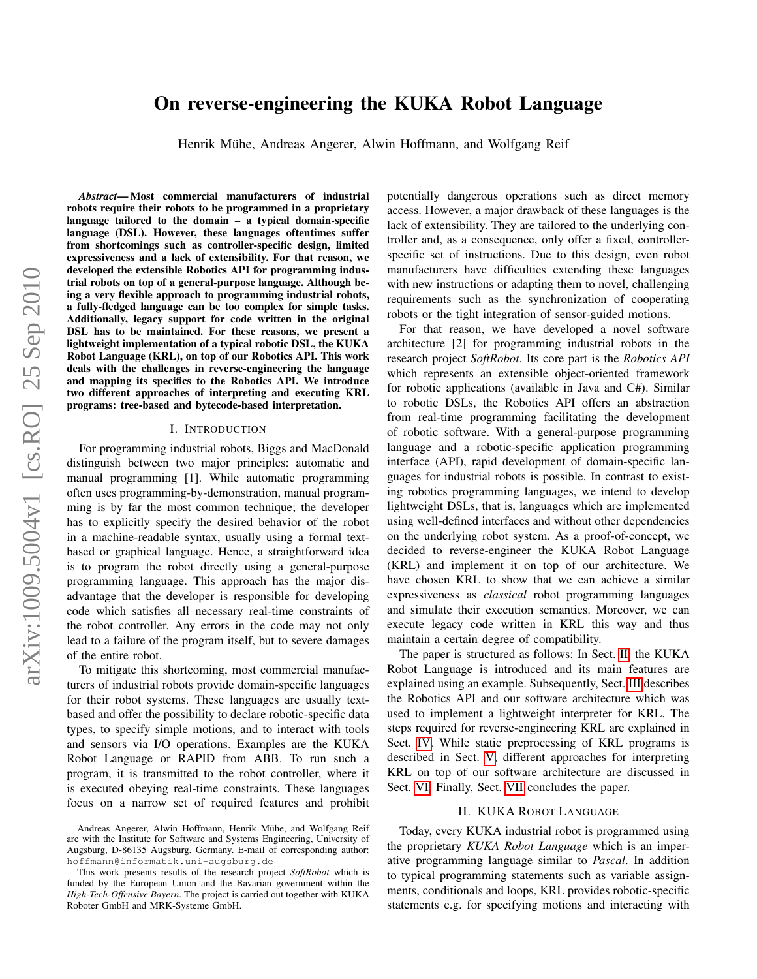# arXiv:1009.5004v1 [cs.RO] 25 Sep 2010 arXiv:1009.5004v1 [cs.RO] 25 Sep 2010

# On reverse-engineering the KUKA Robot Language

Henrik Mühe, Andreas Angerer, Alwin Hoffmann, and Wolfgang Reif

*Abstract*— Most commercial manufacturers of industrial robots require their robots to be programmed in a proprietary language tailored to the domain – a typical domain-specific language (DSL). However, these languages oftentimes suffer from shortcomings such as controller-specific design, limited expressiveness and a lack of extensibility. For that reason, we developed the extensible Robotics API for programming industrial robots on top of a general-purpose language. Although being a very flexible approach to programming industrial robots, a fully-fledged language can be too complex for simple tasks. Additionally, legacy support for code written in the original DSL has to be maintained. For these reasons, we present a lightweight implementation of a typical robotic DSL, the KUKA Robot Language (KRL), on top of our Robotics API. This work deals with the challenges in reverse-engineering the language and mapping its specifics to the Robotics API. We introduce two different approaches of interpreting and executing KRL programs: tree-based and bytecode-based interpretation.

# I. INTRODUCTION

For programming industrial robots, Biggs and MacDonald distinguish between two major principles: automatic and manual programming [1]. While automatic programming often uses programming-by-demonstration, manual programming is by far the most common technique; the developer has to explicitly specify the desired behavior of the robot in a machine-readable syntax, usually using a formal textbased or graphical language. Hence, a straightforward idea is to program the robot directly using a general-purpose programming language. This approach has the major disadvantage that the developer is responsible for developing code which satisfies all necessary real-time constraints of the robot controller. Any errors in the code may not only lead to a failure of the program itself, but to severe damages of the entire robot.

To mitigate this shortcoming, most commercial manufacturers of industrial robots provide domain-specific languages for their robot systems. These languages are usually textbased and offer the possibility to declare robotic-specific data types, to specify simple motions, and to interact with tools and sensors via I/O operations. Examples are the KUKA Robot Language or RAPID from ABB. To run such a program, it is transmitted to the robot controller, where it is executed obeying real-time constraints. These languages focus on a narrow set of required features and prohibit potentially dangerous operations such as direct memory access. However, a major drawback of these languages is the lack of extensibility. They are tailored to the underlying controller and, as a consequence, only offer a fixed, controllerspecific set of instructions. Due to this design, even robot manufacturers have difficulties extending these languages with new instructions or adapting them to novel, challenging requirements such as the synchronization of cooperating robots or the tight integration of sensor-guided motions.

For that reason, we have developed a novel software architecture [2] for programming industrial robots in the research project *SoftRobot*. Its core part is the *Robotics API* which represents an extensible object-oriented framework for robotic applications (available in Java and C#). Similar to robotic DSLs, the Robotics API offers an abstraction from real-time programming facilitating the development of robotic software. With a general-purpose programming language and a robotic-specific application programming interface (API), rapid development of domain-specific languages for industrial robots is possible. In contrast to existing robotics programming languages, we intend to develop lightweight DSLs, that is, languages which are implemented using well-defined interfaces and without other dependencies on the underlying robot system. As a proof-of-concept, we decided to reverse-engineer the KUKA Robot Language (KRL) and implement it on top of our architecture. We have chosen KRL to show that we can achieve a similar expressiveness as *classical* robot programming languages and simulate their execution semantics. Moreover, we can execute legacy code written in KRL this way and thus maintain a certain degree of compatibility.

The paper is structured as follows: In Sect. [II,](#page-0-0) the KUKA Robot Language is introduced and its main features are explained using an example. Subsequently, Sect. [III](#page-1-0) describes the Robotics API and our software architecture which was used to implement a lightweight interpreter for KRL. The steps required for reverse-engineering KRL are explained in Sect. [IV.](#page-2-0) While static preprocessing of KRL programs is described in Sect. [V,](#page-3-0) different approaches for interpreting KRL on top of our software architecture are discussed in Sect. [VI.](#page-3-1) Finally, Sect. [VII](#page-5-0) concludes the paper.

### II. KUKA ROBOT LANGUAGE

<span id="page-0-0"></span>Today, every KUKA industrial robot is programmed using the proprietary *KUKA Robot Language* which is an imperative programming language similar to *Pascal*. In addition to typical programming statements such as variable assignments, conditionals and loops, KRL provides robotic-specific statements e.g. for specifying motions and interacting with

Andreas Angerer, Alwin Hoffmann, Henrik Mühe, and Wolfgang Reif are with the Institute for Software and Systems Engineering, University of Augsburg, D-86135 Augsburg, Germany. E-mail of corresponding author: hoffmann@informatik.uni-augsburg.de

This work presents results of the research project *SoftRobot* which is funded by the European Union and the Bavarian government within the *High-Tech-Offensive Bayern*. The project is carried out together with KUKA Roboter GmbH and MRK-Systeme GmbH.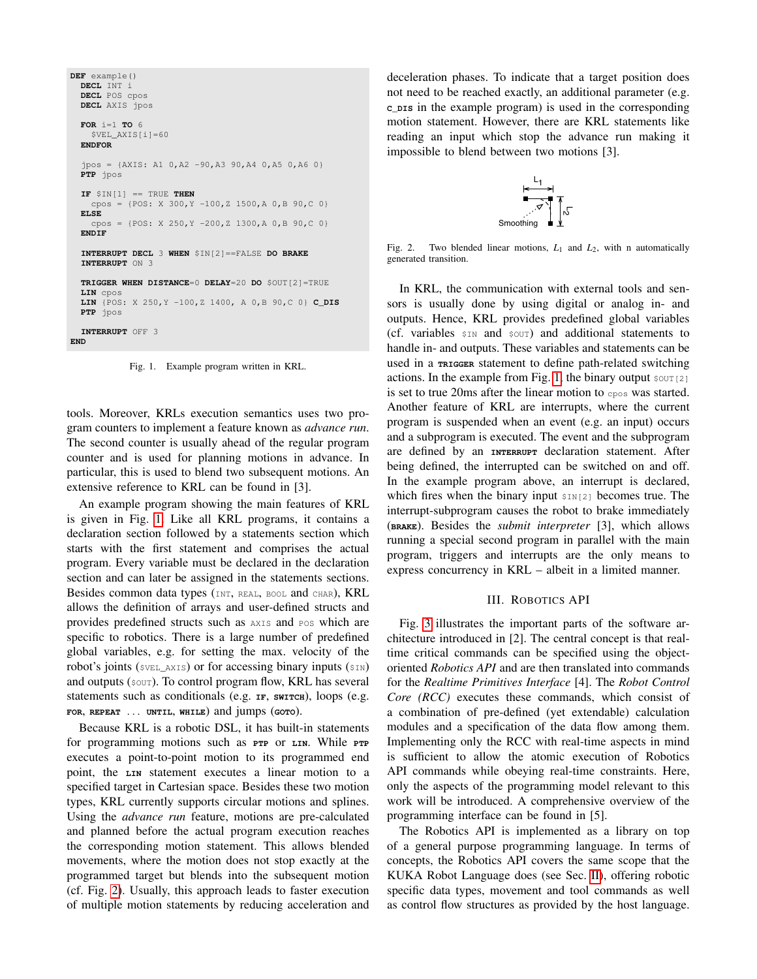```
DEF example()
  DECL INT i
  DECL POS cpos
 DECL AXIS jpos
  FOR i=1 TO 6
    $VEL_AXIS[i]=60
  ENDFOR
  jpos = {AXIS: A1 0,A2 -90,A3 90,A4 0,A5 0,A6 0}
  PTP jpos
  IF $IN[1] == TRUE THEN
    cpos = {POS: X 300, Y -100, Z 1500, A 0, B 90, C 0}
  ELSE
    cpos = {POS: X 250, Y -200, Z 1300, A 0, B 90, C 0}
  ENDIF
  INTERRUPT DECL 3 WHEN $IN[2]==FALSE DO BRAKE
  INTERRUPT ON 3
  TRIGGER WHEN DISTANCE=0 DELAY=20 DO $OUT[2]=TRUE
  LIN cpos
  LIN {POS: X 250,Y -100,Z 1400, A 0,B 90,C 0} C_DIS
  PTP jpos
  INTERRUPT OFF 3
END
```
<span id="page-1-1"></span>Fig. 1. Example program written in KRL.

tools. Moreover, KRLs execution semantics uses two program counters to implement a feature known as *advance run*. The second counter is usually ahead of the regular program counter and is used for planning motions in advance. In particular, this is used to blend two subsequent motions. An extensive reference to KRL can be found in [3].

An example program showing the main features of KRL is given in Fig. [1.](#page-1-1) Like all KRL programs, it contains a declaration section followed by a statements section which starts with the first statement and comprises the actual program. Every variable must be declared in the declaration section and can later be assigned in the statements sections. Besides common data types (INT, REAL, BOOL and CHAR), KRL allows the definition of arrays and user-defined structs and provides predefined structs such as AXIS and POS which are specific to robotics. There is a large number of predefined global variables, e.g. for setting the max. velocity of the robot's joints (\$VEL\_AXIS) or for accessing binary inputs (\$IN) and outputs (\$OUT). To control program flow, KRL has several statements such as conditionals (e.g. **IF**, **SWITCH**), loops (e.g. **FOR**, **REPEAT** ... **UNTIL**, **WHILE**) and jumps (**GOTO**).

Because KRL is a robotic DSL, it has built-in statements for programming motions such as **PTP** or **LIN**. While **PTP** executes a point-to-point motion to its programmed end point, the **LIN** statement executes a linear motion to a specified target in Cartesian space. Besides these two motion types, KRL currently supports circular motions and splines. Using the *advance run* feature, motions are pre-calculated and planned before the actual program execution reaches the corresponding motion statement. This allows blended movements, where the motion does not stop exactly at the programmed target but blends into the subsequent motion (cf. Fig. [2\)](#page-1-2). Usually, this approach leads to faster execution of multiple motion statements by reducing acceleration and

deceleration phases. To indicate that a target position does not need to be reached exactly, an additional parameter (e.g. **C\_DIS** in the example program) is used in the corresponding motion statement. However, there are KRL statements like reading an input which stop the advance run making it impossible to blend between two motions [3].



<span id="page-1-2"></span>Fig. 2. Two blended linear motions,  $L_1$  and  $L_2$ , with n automatically generated transition.

In KRL, the communication with external tools and sensors is usually done by using digital or analog in- and outputs. Hence, KRL provides predefined global variables (cf. variables  $\sin$  and  $\sec$ ) and additional statements to handle in- and outputs. These variables and statements can be used in a **TRIGGER** statement to define path-related switching actions. In the example from Fig. [1,](#page-1-1) the binary output  $\text{sort}[2]$ is set to true 20ms after the linear motion to cpos was started. Another feature of KRL are interrupts, where the current program is suspended when an event (e.g. an input) occurs and a subprogram is executed. The event and the subprogram are defined by an **INTERRUPT** declaration statement. After being defined, the interrupted can be switched on and off. In the example program above, an interrupt is declared, which fires when the binary input  $\sum_{i=1}^{\infty}$  becomes true. The interrupt-subprogram causes the robot to brake immediately (**BRAKE**). Besides the *submit interpreter* [3], which allows running a special second program in parallel with the main program, triggers and interrupts are the only means to express concurrency in KRL – albeit in a limited manner.

## III. ROBOTICS API

<span id="page-1-0"></span>Fig. [3](#page-2-1) illustrates the important parts of the software architecture introduced in [2]. The central concept is that realtime critical commands can be specified using the objectoriented *Robotics API* and are then translated into commands for the *Realtime Primitives Interface* [4]. The *Robot Control Core (RCC)* executes these commands, which consist of a combination of pre-defined (yet extendable) calculation modules and a specification of the data flow among them. Implementing only the RCC with real-time aspects in mind is sufficient to allow the atomic execution of Robotics API commands while obeying real-time constraints. Here, only the aspects of the programming model relevant to this work will be introduced. A comprehensive overview of the programming interface can be found in [5].

The Robotics API is implemented as a library on top of a general purpose programming language. In terms of concepts, the Robotics API covers the same scope that the KUKA Robot Language does (see Sec. [II\)](#page-0-0), offering robotic specific data types, movement and tool commands as well as control flow structures as provided by the host language.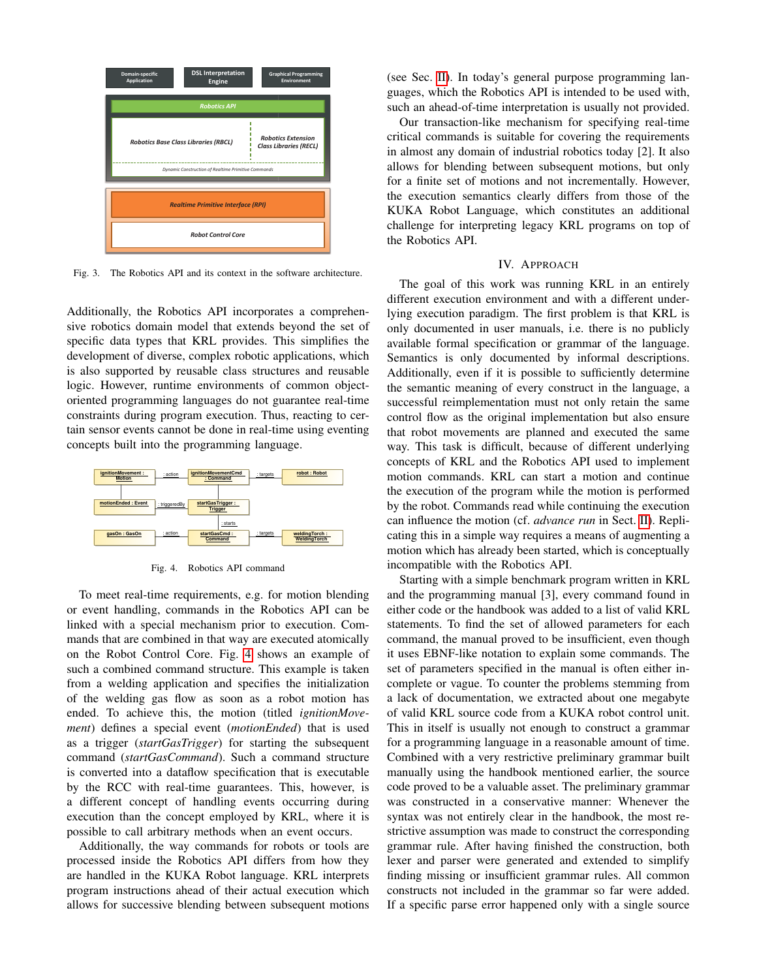

<span id="page-2-1"></span>Fig. 3. The Robotics API and its context in the software architecture.

Additionally, the Robotics API incorporates a comprehensive robotics domain model that extends beyond the set of specific data types that KRL provides. This simplifies the development of diverse, complex robotic applications, which is also supported by reusable class structures and reusable logic. However, runtime environments of common objectoriented programming languages do not guarantee real-time constraints during program execution. Thus, reacting to certain sensor events cannot be done in real-time using eventing concepts built into the programming language.



<span id="page-2-2"></span>Fig. 4. Robotics API command

To meet real-time requirements, e.g. for motion blending or event handling, commands in the Robotics API can be linked with a special mechanism prior to execution. Commands that are combined in that way are executed atomically on the Robot Control Core. Fig. [4](#page-2-2) shows an example of such a combined command structure. This example is taken from a welding application and specifies the initialization of the welding gas flow as soon as a robot motion has ended. To achieve this, the motion (titled *ignitionMovement*) defines a special event (*motionEnded*) that is used as a trigger (*startGasTrigger*) for starting the subsequent command (*startGasCommand*). Such a command structure is converted into a dataflow specification that is executable by the RCC with real-time guarantees. This, however, is a different concept of handling events occurring during execution than the concept employed by KRL, where it is possible to call arbitrary methods when an event occurs.

Additionally, the way commands for robots or tools are processed inside the Robotics API differs from how they are handled in the KUKA Robot language. KRL interprets program instructions ahead of their actual execution which allows for successive blending between subsequent motions

(see Sec. [II\)](#page-0-0). In today's general purpose programming languages, which the Robotics API is intended to be used with, such an ahead-of-time interpretation is usually not provided.

Our transaction-like mechanism for specifying real-time critical commands is suitable for covering the requirements in almost any domain of industrial robotics today [2]. It also allows for blending between subsequent motions, but only for a finite set of motions and not incrementally. However, the execution semantics clearly differs from those of the KUKA Robot Language, which constitutes an additional challenge for interpreting legacy KRL programs on top of the Robotics API.

### IV. APPROACH

<span id="page-2-0"></span>The goal of this work was running KRL in an entirely different execution environment and with a different underlying execution paradigm. The first problem is that KRL is only documented in user manuals, i.e. there is no publicly available formal specification or grammar of the language. Semantics is only documented by informal descriptions. Additionally, even if it is possible to sufficiently determine the semantic meaning of every construct in the language, a successful reimplementation must not only retain the same control flow as the original implementation but also ensure that robot movements are planned and executed the same way. This task is difficult, because of different underlying concepts of KRL and the Robotics API used to implement motion commands. KRL can start a motion and continue the execution of the program while the motion is performed by the robot. Commands read while continuing the execution can influence the motion (cf. *advance run* in Sect. [II\)](#page-0-0). Replicating this in a simple way requires a means of augmenting a motion which has already been started, which is conceptually incompatible with the Robotics API.

Starting with a simple benchmark program written in KRL and the programming manual [3], every command found in either code or the handbook was added to a list of valid KRL statements. To find the set of allowed parameters for each command, the manual proved to be insufficient, even though it uses EBNF-like notation to explain some commands. The set of parameters specified in the manual is often either incomplete or vague. To counter the problems stemming from a lack of documentation, we extracted about one megabyte of valid KRL source code from a KUKA robot control unit. This in itself is usually not enough to construct a grammar for a programming language in a reasonable amount of time. Combined with a very restrictive preliminary grammar built manually using the handbook mentioned earlier, the source code proved to be a valuable asset. The preliminary grammar was constructed in a conservative manner: Whenever the syntax was not entirely clear in the handbook, the most restrictive assumption was made to construct the corresponding grammar rule. After having finished the construction, both lexer and parser were generated and extended to simplify finding missing or insufficient grammar rules. All common constructs not included in the grammar so far were added. If a specific parse error happened only with a single source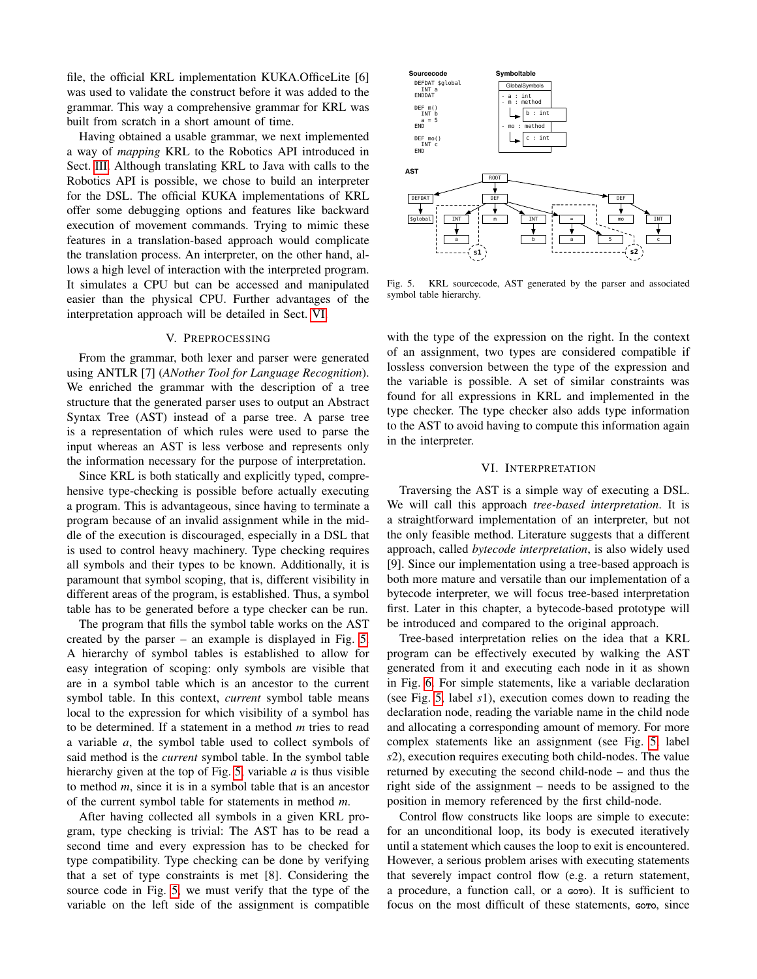file, the official KRL implementation KUKA.OfficeLite [6] was used to validate the construct before it was added to the grammar. This way a comprehensive grammar for KRL was built from scratch in a short amount of time.

Having obtained a usable grammar, we next implemented a way of *mapping* KRL to the Robotics API introduced in Sect. [III.](#page-1-0) Although translating KRL to Java with calls to the Robotics API is possible, we chose to build an interpreter for the DSL. The official KUKA implementations of KRL offer some debugging options and features like backward execution of movement commands. Trying to mimic these features in a translation-based approach would complicate the translation process. An interpreter, on the other hand, allows a high level of interaction with the interpreted program. It simulates a CPU but can be accessed and manipulated easier than the physical CPU. Further advantages of the interpretation approach will be detailed in Sect. [VI.](#page-3-1)

### V. PREPROCESSING

<span id="page-3-0"></span>From the grammar, both lexer and parser were generated using ANTLR [7] (*ANother Tool for Language Recognition*). We enriched the grammar with the description of a tree structure that the generated parser uses to output an Abstract Syntax Tree (AST) instead of a parse tree. A parse tree is a representation of which rules were used to parse the input whereas an AST is less verbose and represents only the information necessary for the purpose of interpretation.

Since KRL is both statically and explicitly typed, comprehensive type-checking is possible before actually executing a program. This is advantageous, since having to terminate a program because of an invalid assignment while in the middle of the execution is discouraged, especially in a DSL that is used to control heavy machinery. Type checking requires all symbols and their types to be known. Additionally, it is paramount that symbol scoping, that is, different visibility in different areas of the program, is established. Thus, a symbol table has to be generated before a type checker can be run.

The program that fills the symbol table works on the AST created by the parser – an example is displayed in Fig. [5.](#page-3-2) A hierarchy of symbol tables is established to allow for easy integration of scoping: only symbols are visible that are in a symbol table which is an ancestor to the current symbol table. In this context, *current* symbol table means local to the expression for which visibility of a symbol has to be determined. If a statement in a method *m* tries to read a variable *a*, the symbol table used to collect symbols of said method is the *current* symbol table. In the symbol table hierarchy given at the top of Fig. [5,](#page-3-2) variable *a* is thus visible to method *m*, since it is in a symbol table that is an ancestor of the current symbol table for statements in method *m*.

After having collected all symbols in a given KRL program, type checking is trivial: The AST has to be read a second time and every expression has to be checked for type compatibility. Type checking can be done by verifying that a set of type constraints is met [8]. Considering the source code in Fig. [5,](#page-3-2) we must verify that the type of the variable on the left side of the assignment is compatible



<span id="page-3-2"></span>Fig. 5. KRL sourcecode, AST generated by the parser and associated symbol table hierarchy.

with the type of the expression on the right. In the context of an assignment, two types are considered compatible if lossless conversion between the type of the expression and the variable is possible. A set of similar constraints was found for all expressions in KRL and implemented in the type checker. The type checker also adds type information to the AST to avoid having to compute this information again in the interpreter.

# VI. INTERPRETATION

<span id="page-3-1"></span>Traversing the AST is a simple way of executing a DSL. We will call this approach *tree-based interpretation*. It is a straightforward implementation of an interpreter, but not the only feasible method. Literature suggests that a different approach, called *bytecode interpretation*, is also widely used [9]. Since our implementation using a tree-based approach is both more mature and versatile than our implementation of a bytecode interpreter, we will focus tree-based interpretation first. Later in this chapter, a bytecode-based prototype will be introduced and compared to the original approach.

Tree-based interpretation relies on the idea that a KRL program can be effectively executed by walking the AST generated from it and executing each node in it as shown in Fig. [6.](#page-4-0) For simple statements, like a variable declaration (see Fig. [5,](#page-3-2) label *s*1), execution comes down to reading the declaration node, reading the variable name in the child node and allocating a corresponding amount of memory. For more complex statements like an assignment (see Fig. [5,](#page-3-2) label *s*2), execution requires executing both child-nodes. The value returned by executing the second child-node – and thus the right side of the assignment – needs to be assigned to the position in memory referenced by the first child-node.

Control flow constructs like loops are simple to execute: for an unconditional loop, its body is executed iteratively until a statement which causes the loop to exit is encountered. However, a serious problem arises with executing statements that severely impact control flow (e.g. a return statement, a procedure, a function call, or a **GOTO**). It is sufficient to focus on the most difficult of these statements, coro, since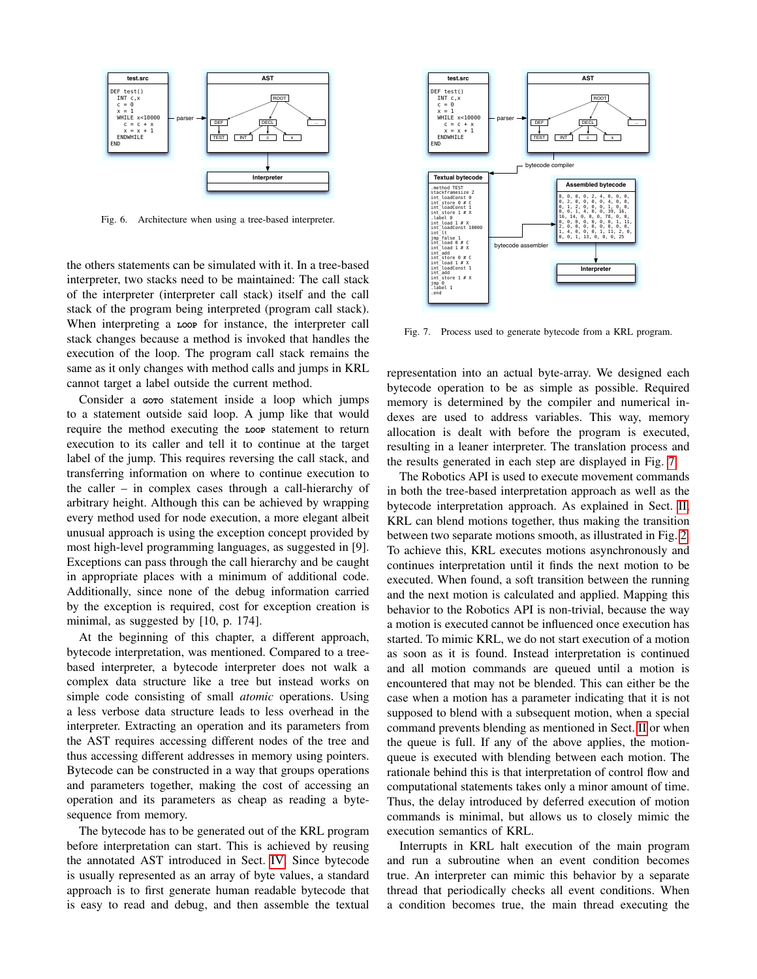

<span id="page-4-0"></span>Fig. 6. Architecture when using a tree-based interpreter.

the others statements can be simulated with it. In a tree-based interpreter, two stacks need to be maintained: The call stack of the interpreter (interpreter call stack) itself and the call stack of the program being interpreted (program call stack). When interpreting a **LOOP** for instance, the interpreter call stack changes because a method is invoked that handles the execution of the loop. The program call stack remains the same as it only changes with method calls and jumps in KRL cannot target a label outside the current method.

Consider a Goro statement inside a loop which jumps to a statement outside said loop. A jump like that would require the method executing the **LOOP** statement to return execution to its caller and tell it to continue at the target label of the jump. This requires reversing the call stack, and transferring information on where to continue execution to the caller – in complex cases through a call-hierarchy of arbitrary height. Although this can be achieved by wrapping every method used for node execution, a more elegant albeit unusual approach is using the exception concept provided by most high-level programming languages, as suggested in [9]. Exceptions can pass through the call hierarchy and be caught in appropriate places with a minimum of additional code. Additionally, since none of the debug information carried by the exception is required, cost for exception creation is minimal, as suggested by [10, p. 174].

At the beginning of this chapter, a different approach, bytecode interpretation, was mentioned. Compared to a treebased interpreter, a bytecode interpreter does not walk a complex data structure like a tree but instead works on simple code consisting of small *atomic* operations. Using a less verbose data structure leads to less overhead in the interpreter. Extracting an operation and its parameters from the AST requires accessing different nodes of the tree and thus accessing different addresses in memory using pointers. Bytecode can be constructed in a way that groups operations and parameters together, making the cost of accessing an operation and its parameters as cheap as reading a bytesequence from memory.

The bytecode has to be generated out of the KRL program before interpretation can start. This is achieved by reusing the annotated AST introduced in Sect. [IV.](#page-2-0) Since bytecode is usually represented as an array of byte values, a standard approach is to first generate human readable bytecode that is easy to read and debug, and then assemble the textual



<span id="page-4-1"></span>Fig. 7. Process used to generate bytecode from a KRL program.

representation into an actual byte-array. We designed each bytecode operation to be as simple as possible. Required memory is determined by the compiler and numerical indexes are used to address variables. This way, memory allocation is dealt with before the program is executed, resulting in a leaner interpreter. The translation process and the results generated in each step are displayed in Fig. [7.](#page-4-1)

The Robotics API is used to execute movement commands in both the tree-based interpretation approach as well as the bytecode interpretation approach. As explained in Sect. [II,](#page-0-0) KRL can blend motions together, thus making the transition between two separate motions smooth, as illustrated in Fig. [2.](#page-1-2) To achieve this, KRL executes motions asynchronously and continues interpretation until it finds the next motion to be executed. When found, a soft transition between the running and the next motion is calculated and applied. Mapping this behavior to the Robotics API is non-trivial, because the way a motion is executed cannot be influenced once execution has started. To mimic KRL, we do not start execution of a motion as soon as it is found. Instead interpretation is continued and all motion commands are queued until a motion is encountered that may not be blended. This can either be the case when a motion has a parameter indicating that it is not supposed to blend with a subsequent motion, when a special command prevents blending as mentioned in Sect. [II](#page-0-0) or when the queue is full. If any of the above applies, the motionqueue is executed with blending between each motion. The rationale behind this is that interpretation of control flow and computational statements takes only a minor amount of time. Thus, the delay introduced by deferred execution of motion commands is minimal, but allows us to closely mimic the execution semantics of KRL.

Interrupts in KRL halt execution of the main program and run a subroutine when an event condition becomes true. An interpreter can mimic this behavior by a separate thread that periodically checks all event conditions. When a condition becomes true, the main thread executing the